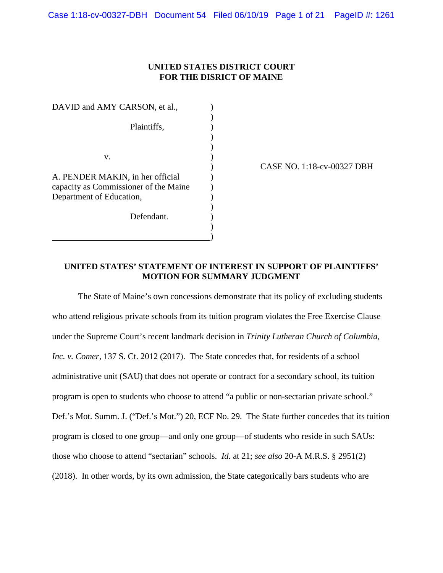## **UNITED STATES DISTRICT COURT FOR THE DISRICT OF MAINE**

DAVID and AMY CARSON, et al.,  $)$ Plaintiffs,  $\qquad \qquad$ )  $\overline{\phantom{a}}$  $\overline{\phantom{a}}$  $\mathbf{v}$ .  $\qquad \qquad$  ) A. PENDER MAKIN, in her official  $\qquad \qquad$  ) capacity as Commissioner of the Maine ) Department of Education, (1)  $)$ Defendant.  $)$  $\qquad \qquad \qquad$ 

) CASE NO. 1:18-cv-00327 DBH

## **UNITED STATES' STATEMENT OF INTEREST IN SUPPORT OF PLAINTIFFS' MOTION FOR SUMMARY JUDGMENT**

The State of Maine's own concessions demonstrate that its policy of excluding students who attend religious private schools from its tuition program violates the Free Exercise Clause under the Supreme Court's recent landmark decision in *Trinity Lutheran Church of Columbia, Inc. v. Comer*, 137 S. Ct. 2012 (2017). The State concedes that, for residents of a school administrative unit (SAU) that does not operate or contract for a secondary school, its tuition program is open to students who choose to attend "a public or non-sectarian private school." Def.'s Mot. Summ. J. ("Def.'s Mot.") 20, ECF No. 29. The State further concedes that its tuition program is closed to one group—and only one group—of students who reside in such SAUs: those who choose to attend "sectarian" schools. *Id.* at 21; *see also* 20-A M.R.S. § 2951(2) (2018). In other words, by its own admission, the State categorically bars students who are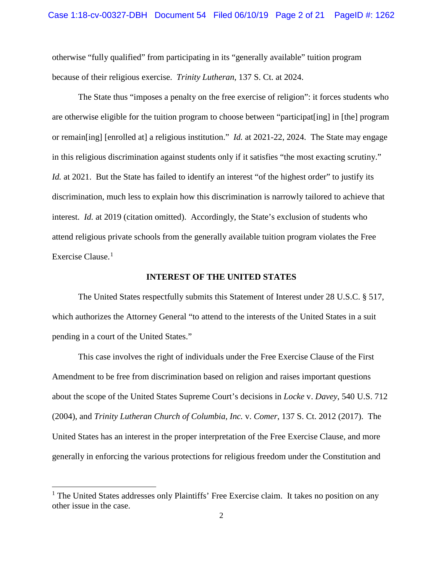otherwise "fully qualified" from participating in its "generally available" tuition program because of their religious exercise. *Trinity Lutheran*, 137 S. Ct. at 2024.

The State thus "imposes a penalty on the free exercise of religion": it forces students who are otherwise eligible for the tuition program to choose between "participat[ing] in [the] program or remain[ing] [enrolled at] a religious institution." *Id.* at 2021-22, 2024. The State may engage in this religious discrimination against students only if it satisfies "the most exacting scrutiny." *Id.* at 2021. But the State has failed to identify an interest "of the highest order" to justify its discrimination, much less to explain how this discrimination is narrowly tailored to achieve that interest. *Id.* at 2019 (citation omitted). Accordingly, the State's exclusion of students who attend religious private schools from the generally available tuition program violates the Free Exercise Clause.<sup>[1](#page-1-0)</sup>

#### **INTEREST OF THE UNITED STATES**

The United States respectfully submits this Statement of Interest under 28 U.S.C. § 517, which authorizes the Attorney General "to attend to the interests of the United States in a suit pending in a court of the United States."

This case involves the right of individuals under the Free Exercise Clause of the First Amendment to be free from discrimination based on religion and raises important questions about the scope of the United States Supreme Court's decisions in *Locke* v. *Davey*, 540 U.S. 712 (2004), and *Trinity Lutheran Church of Columbia, Inc.* v. *Comer*, 137 S. Ct. 2012 (2017). The United States has an interest in the proper interpretation of the Free Exercise Clause, and more generally in enforcing the various protections for religious freedom under the Constitution and

 $\overline{a}$ 

<span id="page-1-0"></span><sup>&</sup>lt;sup>1</sup> The United States addresses only Plaintiffs' Free Exercise claim. It takes no position on any other issue in the case.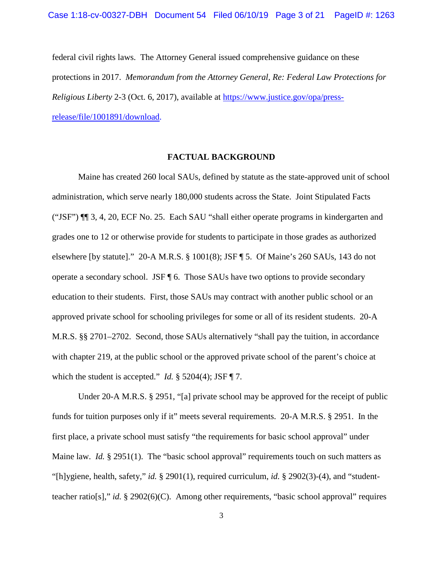federal civil rights laws. The Attorney General issued comprehensive guidance on these protections in 2017. *Memorandum from the Attorney General, Re: Federal Law Protections for Religious Liberty* 2-3 (Oct. 6, 2017), available at [https://www.justice.gov/opa/press](https://www.justice.gov/opa/press-release/file/1001891/download)[release/file/1001891/download.](https://www.justice.gov/opa/press-release/file/1001891/download)

### **FACTUAL BACKGROUND**

Maine has created 260 local SAUs, defined by statute as the state-approved unit of school administration, which serve nearly 180,000 students across the State. Joint Stipulated Facts ("JSF") ¶¶ 3, 4, 20, ECF No. 25. Each SAU "shall either operate programs in kindergarten and grades one to 12 or otherwise provide for students to participate in those grades as authorized elsewhere [by statute]." 20-A M.R.S. § 1001(8); JSF ¶ 5. Of Maine's 260 SAUs, 143 do not operate a secondary school. JSF ¶ 6. Those SAUs have two options to provide secondary education to their students. First, those SAUs may contract with another public school or an approved private school for schooling privileges for some or all of its resident students. 20-A M.R.S. §§ 2701–2702. Second, those SAUs alternatively "shall pay the tuition, in accordance with chapter 219, at the public school or the approved private school of the parent's choice at which the student is accepted." *Id.* § 5204(4); JSF ¶ 7.

 Under 20-A M.R.S. § 2951, "[a] private school may be approved for the receipt of public funds for tuition purposes only if it" meets several requirements. 20-A M.R.S. § 2951. In the first place, a private school must satisfy "the requirements for basic school approval" under Maine law. *Id.* § 2951(1). The "basic school approval" requirements touch on such matters as "[h]ygiene, health, safety," *id.* § 2901(1), required curriculum, *id.* § 2902(3)-(4), and "studentteacher ratio[s]," *id.* § 2902(6)(C). Among other requirements, "basic school approval" requires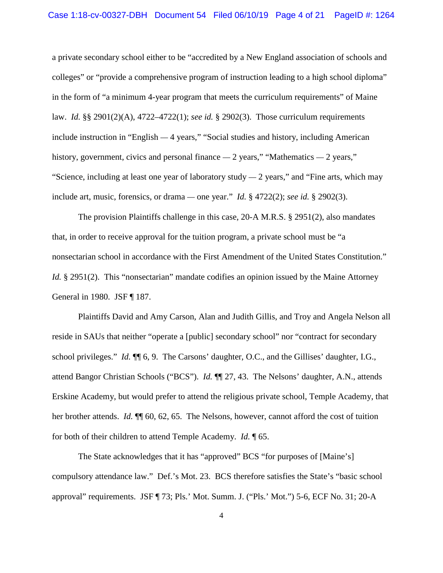#### Case 1:18-cv-00327-DBH Document 54 Filed 06/10/19 Page 4 of 21 PageID #: 1264

a private secondary school either to be "accredited by a New England association of schools and colleges" or "provide a comprehensive program of instruction leading to a high school diploma" in the form of "a minimum 4-year program that meets the curriculum requirements" of Maine law. *Id.* §§ 2901(2)(A), 4722–4722(1); *see id.* § 2902(3). Those curriculum requirements include instruction in "English — 4 years," "Social studies and history, including American history, government, civics and personal finance  $-2$  years," "Mathematics  $-2$  years," "Science, including at least one year of laboratory study  $-2$  years," and "Fine arts, which may include art, music, forensics, or drama — one year." *Id.* § 4722(2); *see id.* § 2902(3).

The provision Plaintiffs challenge in this case, 20-A M.R.S. § 2951(2), also mandates that, in order to receive approval for the tuition program, a private school must be "a nonsectarian school in accordance with the First Amendment of the United States Constitution." *Id.* § 2951(2). This "nonsectarian" mandate codifies an opinion issued by the Maine Attorney General in 1980. JSF ¶ 187.

 Plaintiffs David and Amy Carson, Alan and Judith Gillis, and Troy and Angela Nelson all reside in SAUs that neither "operate a [public] secondary school" nor "contract for secondary school privileges." *Id.* ¶¶ 6, 9. The Carsons' daughter, O.C., and the Gillises' daughter, I.G., attend Bangor Christian Schools ("BCS"). *Id.* ¶¶ 27, 43. The Nelsons' daughter, A.N., attends Erskine Academy, but would prefer to attend the religious private school, Temple Academy, that her brother attends. *Id.* ¶¶ 60, 62, 65. The Nelsons, however, cannot afford the cost of tuition for both of their children to attend Temple Academy. *Id.* ¶ 65.

The State acknowledges that it has "approved" BCS "for purposes of [Maine's] compulsory attendance law." Def.'s Mot. 23. BCS therefore satisfies the State's "basic school approval" requirements. JSF ¶ 73; Pls.' Mot. Summ. J. ("Pls.' Mot.") 5-6, ECF No. 31; 20-A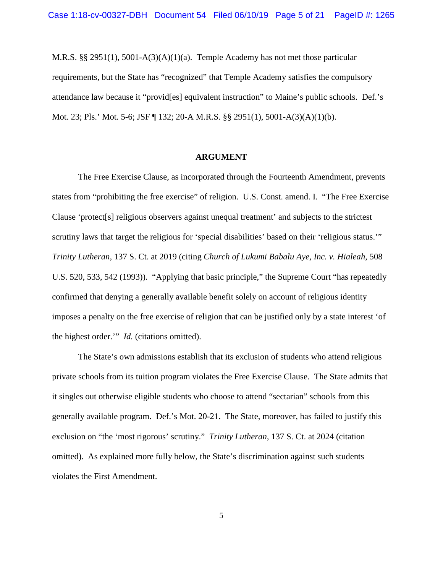M.R.S. §§ 2951(1), 5001-A(3)(A)(1)(a). Temple Academy has not met those particular requirements, but the State has "recognized" that Temple Academy satisfies the compulsory attendance law because it "provid[es] equivalent instruction" to Maine's public schools. Def.'s Mot. 23; Pls.' Mot. 5-6; JSF ¶ 132; 20-A M.R.S. §§ 2951(1), 5001-A(3)(A)(1)(b).

#### **ARGUMENT**

The Free Exercise Clause, as incorporated through the Fourteenth Amendment, prevents states from "prohibiting the free exercise" of religion. U.S. Const. amend. I. "The Free Exercise Clause 'protect[s] religious observers against unequal treatment' and subjects to the strictest scrutiny laws that target the religious for 'special disabilities' based on their 'religious status.'" *Trinity Lutheran*, 137 S. Ct. at 2019 (citing *Church of Lukumi Babalu Aye, Inc. v. Hialeah*, 508 U.S. 520, 533, 542 (1993)). "Applying that basic principle," the Supreme Court "has repeatedly confirmed that denying a generally available benefit solely on account of religious identity imposes a penalty on the free exercise of religion that can be justified only by a state interest 'of the highest order.'" *Id.* (citations omitted).

The State's own admissions establish that its exclusion of students who attend religious private schools from its tuition program violates the Free Exercise Clause. The State admits that it singles out otherwise eligible students who choose to attend "sectarian" schools from this generally available program. Def.'s Mot. 20-21. The State, moreover, has failed to justify this exclusion on "the 'most rigorous' scrutiny." *Trinity Lutheran*, 137 S. Ct. at 2024 (citation omitted). As explained more fully below, the State's discrimination against such students violates the First Amendment.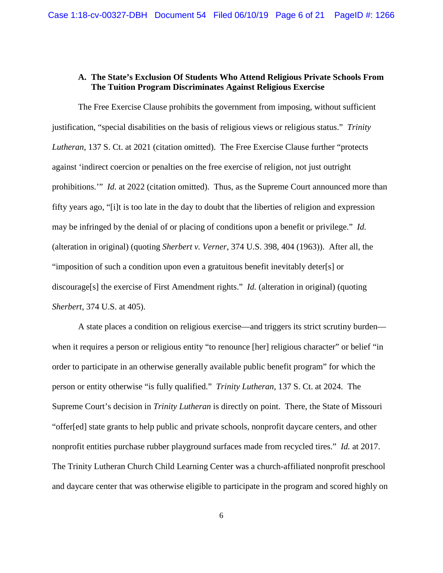# **A. The State's Exclusion Of Students Who Attend Religious Private Schools From The Tuition Program Discriminates Against Religious Exercise**

The Free Exercise Clause prohibits the government from imposing, without sufficient justification, "special disabilities on the basis of religious views or religious status." *Trinity Lutheran*, 137 S. Ct. at 2021 (citation omitted). The Free Exercise Clause further "protects against 'indirect coercion or penalties on the free exercise of religion, not just outright prohibitions." *Id.* at 2022 (citation omitted). Thus, as the Supreme Court announced more than fifty years ago, "[i]t is too late in the day to doubt that the liberties of religion and expression may be infringed by the denial of or placing of conditions upon a benefit or privilege." *Id.* (alteration in original) (quoting *Sherbert v. Verner*, 374 U.S. 398, 404 (1963)). After all, the "imposition of such a condition upon even a gratuitous benefit inevitably deter[s] or discourage[s] the exercise of First Amendment rights." *Id.* (alteration in original) (quoting *Sherbert*, 374 U.S. at 405).

A state places a condition on religious exercise—and triggers its strict scrutiny burden when it requires a person or religious entity "to renounce [her] religious character" or belief "in order to participate in an otherwise generally available public benefit program" for which the person or entity otherwise "is fully qualified." *Trinity Lutheran*, 137 S. Ct. at 2024. The Supreme Court's decision in *Trinity Lutheran* is directly on point. There, the State of Missouri "offer[ed] state grants to help public and private schools, nonprofit daycare centers, and other nonprofit entities purchase rubber playground surfaces made from recycled tires." *Id.* at 2017. The Trinity Lutheran Church Child Learning Center was a church-affiliated nonprofit preschool and daycare center that was otherwise eligible to participate in the program and scored highly on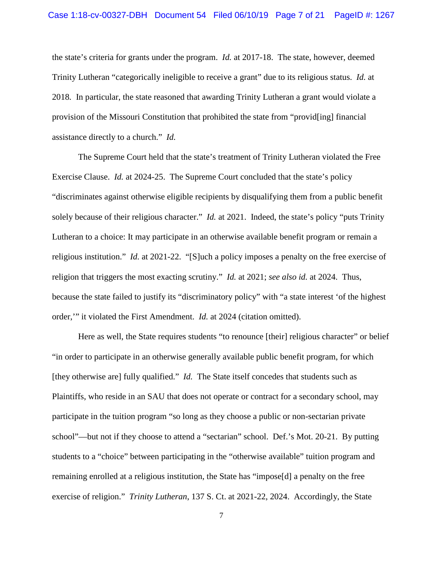the state's criteria for grants under the program. *Id.* at 2017-18. The state, however, deemed Trinity Lutheran "categorically ineligible to receive a grant" due to its religious status. *Id.* at 2018*.* In particular, the state reasoned that awarding Trinity Lutheran a grant would violate a provision of the Missouri Constitution that prohibited the state from "provid[ing] financial assistance directly to a church." *Id.*

The Supreme Court held that the state's treatment of Trinity Lutheran violated the Free Exercise Clause. *Id.* at 2024-25. The Supreme Court concluded that the state's policy "discriminates against otherwise eligible recipients by disqualifying them from a public benefit solely because of their religious character." *Id.* at 2021. Indeed, the state's policy "puts Trinity Lutheran to a choice: It may participate in an otherwise available benefit program or remain a religious institution." *Id.* at 2021-22. "[S]uch a policy imposes a penalty on the free exercise of religion that triggers the most exacting scrutiny." *Id.* at 2021; *see also id.* at 2024. Thus, because the state failed to justify its "discriminatory policy" with "a state interest 'of the highest order,'" it violated the First Amendment. *Id.* at 2024 (citation omitted).

Here as well, the State requires students "to renounce [their] religious character" or belief "in order to participate in an otherwise generally available public benefit program, for which [they otherwise are] fully qualified." *Id.* The State itself concedes that students such as Plaintiffs, who reside in an SAU that does not operate or contract for a secondary school, may participate in the tuition program "so long as they choose a public or non-sectarian private school"—but not if they choose to attend a "sectarian" school. Def.'s Mot. 20-21. By putting students to a "choice" between participating in the "otherwise available" tuition program and remaining enrolled at a religious institution, the State has "impose[d] a penalty on the free exercise of religion." *Trinity Lutheran*, 137 S. Ct. at 2021-22, 2024. Accordingly, the State

7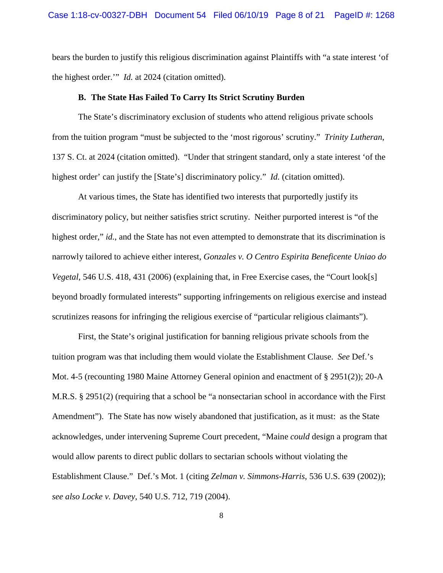bears the burden to justify this religious discrimination against Plaintiffs with "a state interest 'of the highest order.'" *Id.* at 2024 (citation omitted).

#### **B. The State Has Failed To Carry Its Strict Scrutiny Burden**

The State's discriminatory exclusion of students who attend religious private schools from the tuition program "must be subjected to the 'most rigorous' scrutiny." *Trinity Lutheran*, 137 S. Ct. at 2024 (citation omitted). "Under that stringent standard, only a state interest 'of the highest order' can justify the [State's] discriminatory policy." *Id.* (citation omitted).

At various times, the State has identified two interests that purportedly justify its discriminatory policy, but neither satisfies strict scrutiny. Neither purported interest is "of the highest order," *id.*, and the State has not even attempted to demonstrate that its discrimination is narrowly tailored to achieve either interest, *Gonzales v. O Centro Espirita Beneficente Uniao do Vegetal*, 546 U.S. 418, 431 (2006) (explaining that, in Free Exercise cases, the "Court look[s] beyond broadly formulated interests" supporting infringements on religious exercise and instead scrutinizes reasons for infringing the religious exercise of "particular religious claimants").

First, the State's original justification for banning religious private schools from the tuition program was that including them would violate the Establishment Clause. *See* Def.'s Mot. 4-5 (recounting 1980 Maine Attorney General opinion and enactment of § 2951(2)); 20-A M.R.S. § 2951(2) (requiring that a school be "a nonsectarian school in accordance with the First Amendment"). The State has now wisely abandoned that justification, as it must: as the State acknowledges, under intervening Supreme Court precedent, "Maine *could* design a program that would allow parents to direct public dollars to sectarian schools without violating the Establishment Clause." Def.'s Mot. 1 (citing *Zelman v. Simmons-Harris*, 536 U.S. 639 (2002)); *see also Locke v. Davey*, 540 U.S. 712, 719 (2004).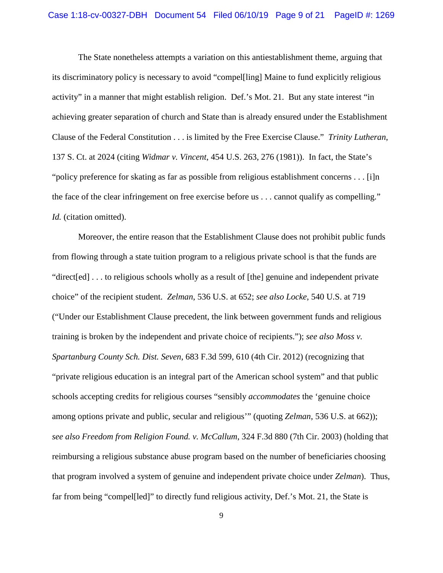The State nonetheless attempts a variation on this antiestablishment theme, arguing that its discriminatory policy is necessary to avoid "compel[ling] Maine to fund explicitly religious activity" in a manner that might establish religion. Def.'s Mot. 21. But any state interest "in achieving greater separation of church and State than is already ensured under the Establishment Clause of the Federal Constitution . . . is limited by the Free Exercise Clause." *Trinity Lutheran*, 137 S. Ct. at 2024 (citing *Widmar v. Vincent*, 454 U.S. 263, 276 (1981)). In fact, the State's "policy preference for skating as far as possible from religious establishment concerns . . . [i]n the face of the clear infringement on free exercise before us . . . cannot qualify as compelling." *Id.* (citation omitted).

Moreover, the entire reason that the Establishment Clause does not prohibit public funds from flowing through a state tuition program to a religious private school is that the funds are "direct[ed] . . . to religious schools wholly as a result of [the] genuine and independent private choice" of the recipient student. *Zelman*, 536 U.S. at 652; *see also Locke*, 540 U.S. at 719 ("Under our Establishment Clause precedent, the link between government funds and religious training is broken by the independent and private choice of recipients."); *see also Moss v. Spartanburg County Sch. Dist. Seven*, 683 F.3d 599, 610 (4th Cir. 2012) (recognizing that "private religious education is an integral part of the American school system" and that public schools accepting credits for religious courses "sensibly *accommodates* the 'genuine choice among options private and public, secular and religious'" (quoting *Zelman*, 536 U.S. at 662)); *see also Freedom from Religion Found. v. McCallum*, 324 F.3d 880 (7th Cir. 2003) (holding that reimbursing a religious substance abuse program based on the number of beneficiaries choosing that program involved a system of genuine and independent private choice under *Zelman*). Thus, far from being "compel[led]" to directly fund religious activity, Def.'s Mot. 21, the State is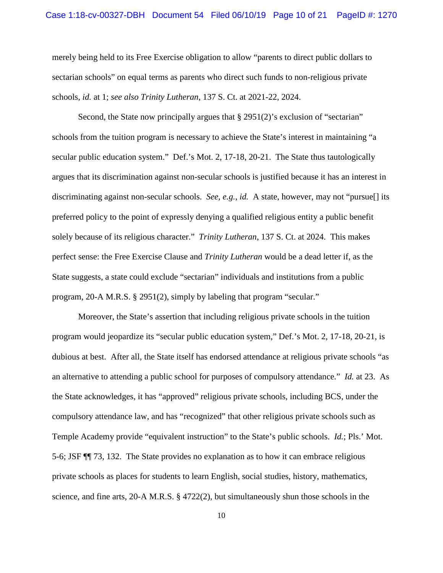merely being held to its Free Exercise obligation to allow "parents to direct public dollars to sectarian schools" on equal terms as parents who direct such funds to non-religious private schools, *id.* at 1; *see also Trinity Lutheran*, 137 S. Ct. at 2021-22, 2024.

Second, the State now principally argues that § 2951(2)'s exclusion of "sectarian" schools from the tuition program is necessary to achieve the State's interest in maintaining "a secular public education system." Def.'s Mot. 2, 17-18, 20-21. The State thus tautologically argues that its discrimination against non-secular schools is justified because it has an interest in discriminating against non-secular schools. *See, e.g.*, *id.* A state, however, may not "pursue[] its preferred policy to the point of expressly denying a qualified religious entity a public benefit solely because of its religious character." *Trinity Lutheran*, 137 S. Ct. at 2024. This makes perfect sense: the Free Exercise Clause and *Trinity Lutheran* would be a dead letter if, as the State suggests, a state could exclude "sectarian" individuals and institutions from a public program, 20-A M.R.S. § 2951(2), simply by labeling that program "secular."

Moreover, the State's assertion that including religious private schools in the tuition program would jeopardize its "secular public education system," Def.'s Mot. 2, 17-18, 20-21, is dubious at best. After all, the State itself has endorsed attendance at religious private schools "as an alternative to attending a public school for purposes of compulsory attendance." *Id.* at 23. As the State acknowledges, it has "approved" religious private schools, including BCS, under the compulsory attendance law, and has "recognized" that other religious private schools such as Temple Academy provide "equivalent instruction" to the State's public schools. *Id.*; Pls.' Mot. 5-6; JSF ¶¶ 73, 132. The State provides no explanation as to how it can embrace religious private schools as places for students to learn English, social studies, history, mathematics, science, and fine arts, 20-A M.R.S. § 4722(2), but simultaneously shun those schools in the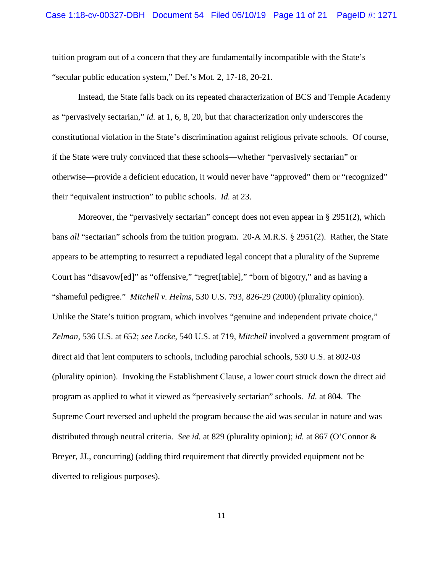tuition program out of a concern that they are fundamentally incompatible with the State's "secular public education system," Def.'s Mot. 2, 17-18, 20-21.

Instead, the State falls back on its repeated characterization of BCS and Temple Academy as "pervasively sectarian," *id.* at 1, 6, 8, 20, but that characterization only underscores the constitutional violation in the State's discrimination against religious private schools. Of course, if the State were truly convinced that these schools—whether "pervasively sectarian" or otherwise—provide a deficient education, it would never have "approved" them or "recognized" their "equivalent instruction" to public schools. *Id.* at 23.

Moreover, the "pervasively sectarian" concept does not even appear in § 2951(2), which bans *all* "sectarian" schools from the tuition program. 20-A M.R.S. § 2951(2). Rather, the State appears to be attempting to resurrect a repudiated legal concept that a plurality of the Supreme Court has "disavow[ed]" as "offensive," "regret[table]," "born of bigotry," and as having a "shameful pedigree." *Mitchell v. Helms*, 530 U.S. 793, 826-29 (2000) (plurality opinion). Unlike the State's tuition program, which involves "genuine and independent private choice," *Zelman*, 536 U.S. at 652; *see Locke*, 540 U.S. at 719, *Mitchell* involved a government program of direct aid that lent computers to schools, including parochial schools, 530 U.S. at 802-03 (plurality opinion). Invoking the Establishment Clause, a lower court struck down the direct aid program as applied to what it viewed as "pervasively sectarian" schools. *Id.* at 804. The Supreme Court reversed and upheld the program because the aid was secular in nature and was distributed through neutral criteria. *See id.* at 829 (plurality opinion); *id.* at 867 (O'Connor & Breyer, JJ., concurring) (adding third requirement that directly provided equipment not be diverted to religious purposes).

11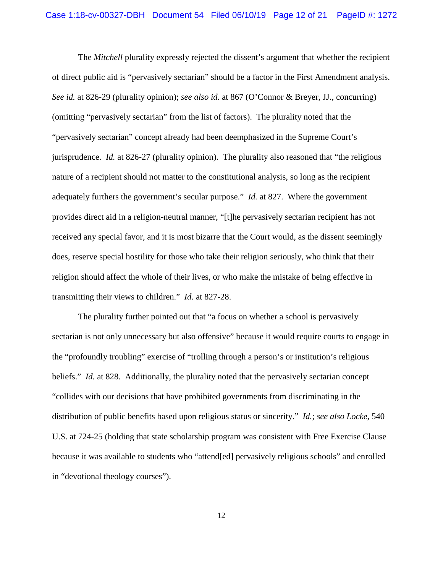The *Mitchell* plurality expressly rejected the dissent's argument that whether the recipient of direct public aid is "pervasively sectarian" should be a factor in the First Amendment analysis. *See id.* at 826-29 (plurality opinion); *see also id.* at 867 (O'Connor & Breyer, JJ., concurring) (omitting "pervasively sectarian" from the list of factors). The plurality noted that the "pervasively sectarian" concept already had been deemphasized in the Supreme Court's jurisprudence. *Id.* at 826-27 (plurality opinion). The plurality also reasoned that "the religious nature of a recipient should not matter to the constitutional analysis, so long as the recipient adequately furthers the government's secular purpose." *Id.* at 827. Where the government provides direct aid in a religion-neutral manner, "[t]he pervasively sectarian recipient has not received any special favor, and it is most bizarre that the Court would, as the dissent seemingly does, reserve special hostility for those who take their religion seriously, who think that their religion should affect the whole of their lives, or who make the mistake of being effective in transmitting their views to children." *Id.* at 827-28.

The plurality further pointed out that "a focus on whether a school is pervasively sectarian is not only unnecessary but also offensive" because it would require courts to engage in the "profoundly troubling" exercise of "trolling through a person's or institution's religious beliefs." *Id.* at 828. Additionally, the plurality noted that the pervasively sectarian concept "collides with our decisions that have prohibited governments from discriminating in the distribution of public benefits based upon religious status or sincerity." *Id.*; *see also Locke*, 540 U.S. at 724-25 (holding that state scholarship program was consistent with Free Exercise Clause because it was available to students who "attend[ed] pervasively religious schools" and enrolled in "devotional theology courses").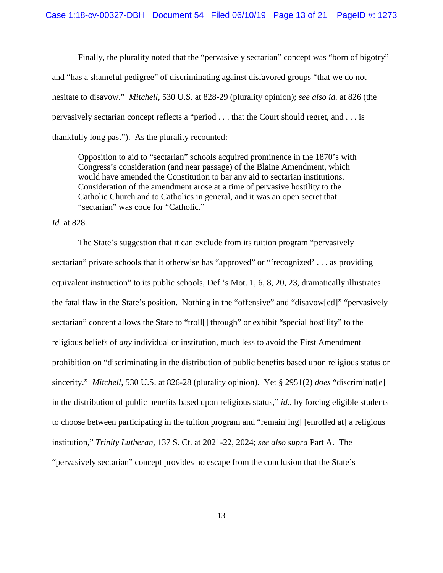Finally, the plurality noted that the "pervasively sectarian" concept was "born of bigotry" and "has a shameful pedigree" of discriminating against disfavored groups "that we do not hesitate to disavow." *Mitchell*, 530 U.S. at 828-29 (plurality opinion); *see also id.* at 826 (the pervasively sectarian concept reflects a "period . . . that the Court should regret, and . . . is thankfully long past"). As the plurality recounted:

Opposition to aid to "sectarian" schools acquired prominence in the 1870's with Congress's consideration (and near passage) of the Blaine Amendment, which would have amended the Constitution to bar any aid to sectarian institutions. Consideration of the amendment arose at a time of pervasive hostility to the Catholic Church and to Catholics in general, and it was an open secret that "sectarian" was code for "Catholic."

*Id.* at 828.

The State's suggestion that it can exclude from its tuition program "pervasively sectarian" private schools that it otherwise has "approved" or "'recognized' . . . as providing equivalent instruction" to its public schools, Def.'s Mot. 1, 6, 8, 20, 23, dramatically illustrates the fatal flaw in the State's position. Nothing in the "offensive" and "disavow[ed]" "pervasively sectarian" concept allows the State to "troll<sup>[]</sup> through" or exhibit "special hostility" to the religious beliefs of *any* individual or institution, much less to avoid the First Amendment prohibition on "discriminating in the distribution of public benefits based upon religious status or sincerity." *Mitchell*, 530 U.S. at 826-28 (plurality opinion). Yet § 2951(2) *does* "discriminat[e] in the distribution of public benefits based upon religious status," *id.*, by forcing eligible students to choose between participating in the tuition program and "remain[ing] [enrolled at] a religious institution," *Trinity Lutheran*, 137 S. Ct. at 2021-22, 2024; *see also supra* Part A. The "pervasively sectarian" concept provides no escape from the conclusion that the State's

13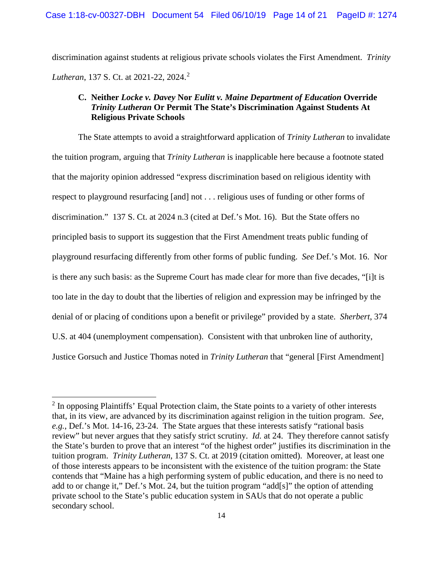discrimination against students at religious private schools violates the First Amendment. *Trinity Lutheran*, 137 S. Ct. at [2](#page-13-0)021-22, 2024.<sup>2</sup>

# **C. Neither** *Locke v. Davey* **Nor** *Eulitt v. Maine Department of Education* **Override**  *Trinity Lutheran* **Or Permit The State's Discrimination Against Students At Religious Private Schools**

The State attempts to avoid a straightforward application of *Trinity Lutheran* to invalidate the tuition program, arguing that *Trinity Lutheran* is inapplicable here because a footnote stated that the majority opinion addressed "express discrimination based on religious identity with respect to playground resurfacing [and] not . . . religious uses of funding or other forms of discrimination." 137 S. Ct. at 2024 n.3 (cited at Def.'s Mot. 16). But the State offers no principled basis to support its suggestion that the First Amendment treats public funding of playground resurfacing differently from other forms of public funding. *See* Def.'s Mot. 16. Nor is there any such basis: as the Supreme Court has made clear for more than five decades, "[i]t is too late in the day to doubt that the liberties of religion and expression may be infringed by the denial of or placing of conditions upon a benefit or privilege" provided by a state. *Sherbert*, 374 U.S. at 404 (unemployment compensation). Consistent with that unbroken line of authority, Justice Gorsuch and Justice Thomas noted in *Trinity Lutheran* that "general [First Amendment]

 $\overline{a}$ 

<span id="page-13-0"></span> $2$  In opposing Plaintiffs' Equal Protection claim, the State points to a variety of other interests that, in its view, are advanced by its discrimination against religion in the tuition program. *See, e.g.*, Def.'s Mot. 14-16, 23-24. The State argues that these interests satisfy "rational basis review" but never argues that they satisfy strict scrutiny. *Id.* at 24. They therefore cannot satisfy the State's burden to prove that an interest "of the highest order" justifies its discrimination in the tuition program. *Trinity Lutheran*, 137 S. Ct. at 2019 (citation omitted). Moreover, at least one of those interests appears to be inconsistent with the existence of the tuition program: the State contends that "Maine has a high performing system of public education, and there is no need to add to or change it," Def.'s Mot. 24, but the tuition program "add[s]" the option of attending private school to the State's public education system in SAUs that do not operate a public secondary school.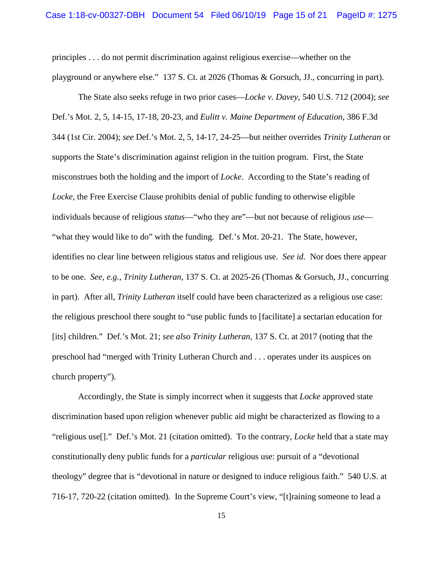principles . . . do not permit discrimination against religious exercise—whether on the playground or anywhere else." 137 S. Ct. at 2026 (Thomas & Gorsuch, JJ., concurring in part).

The State also seeks refuge in two prior cases—*Locke v. Davey*, 540 U.S. 712 (2004); *see* Def.'s Mot. 2, 5, 14-15, 17-18, 20-23, and *Eulitt v. Maine Department of Education*, 386 F.3d 344 (1st Cir. 2004); *see* Def.'s Mot. 2, 5, 14-17, 24-25—but neither overrides *Trinity Lutheran* or supports the State's discrimination against religion in the tuition program. First, the State misconstrues both the holding and the import of *Locke*. According to the State's reading of *Locke*, the Free Exercise Clause prohibits denial of public funding to otherwise eligible individuals because of religious *status*—"who they are"—but not because of religious *use*— "what they would like to do" with the funding. Def.'s Mot. 20-21. The State, however, identifies no clear line between religious status and religious use. *See id.* Nor does there appear to be one. *See, e.g.*, *Trinity Lutheran*, 137 S. Ct. at 2025-26 (Thomas & Gorsuch, JJ., concurring in part). After all, *Trinity Lutheran* itself could have been characterized as a religious use case: the religious preschool there sought to "use public funds to [facilitate] a sectarian education for [its] children." Def.'s Mot. 21; *see also Trinity Lutheran*, 137 S. Ct. at 2017 (noting that the preschool had "merged with Trinity Lutheran Church and . . . operates under its auspices on church property").

Accordingly, the State is simply incorrect when it suggests that *Locke* approved state discrimination based upon religion whenever public aid might be characterized as flowing to a "religious use[]." Def.'s Mot. 21 (citation omitted). To the contrary, *Locke* held that a state may constitutionally deny public funds for a *particular* religious use: pursuit of a "devotional theology" degree that is "devotional in nature or designed to induce religious faith." 540 U.S. at 716-17, 720-22 (citation omitted). In the Supreme Court's view, "[t]raining someone to lead a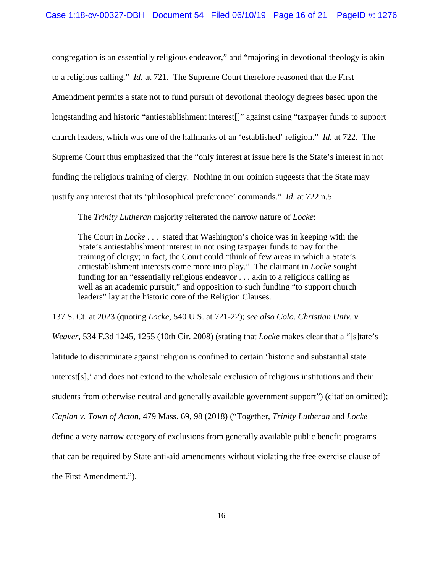congregation is an essentially religious endeavor," and "majoring in devotional theology is akin to a religious calling." *Id.* at 721. The Supreme Court therefore reasoned that the First Amendment permits a state not to fund pursuit of devotional theology degrees based upon the longstanding and historic "antiestablishment interest[]" against using "taxpayer funds to support church leaders, which was one of the hallmarks of an 'established' religion." *Id.* at 722. The Supreme Court thus emphasized that the "only interest at issue here is the State's interest in not funding the religious training of clergy. Nothing in our opinion suggests that the State may justify any interest that its 'philosophical preference' commands." *Id.* at 722 n.5.

The *Trinity Lutheran* majority reiterated the narrow nature of *Locke*:

The Court in *Locke* . . . stated that Washington's choice was in keeping with the State's antiestablishment interest in not using taxpayer funds to pay for the training of clergy; in fact, the Court could "think of few areas in which a State's antiestablishment interests come more into play." The claimant in *Locke* sought funding for an "essentially religious endeavor . . . akin to a religious calling as well as an academic pursuit," and opposition to such funding "to support church leaders" lay at the historic core of the Religion Clauses.

137 S. Ct. at 2023 (quoting *Locke*, 540 U.S. at 721-22); *see also Colo. Christian Univ. v. Weaver*, 534 F.3d 1245, 1255 (10th Cir. 2008) (stating that *Locke* makes clear that a "[s]tate's latitude to discriminate against religion is confined to certain 'historic and substantial state interest[s],' and does not extend to the wholesale exclusion of religious institutions and their students from otherwise neutral and generally available government support") (citation omitted); *Caplan v. Town of Acton*, 479 Mass. 69, 98 (2018) ("Together, *Trinity Lutheran* and *Locke* define a very narrow category of exclusions from generally available public benefit programs that can be required by State anti-aid amendments without violating the free exercise clause of the First Amendment.").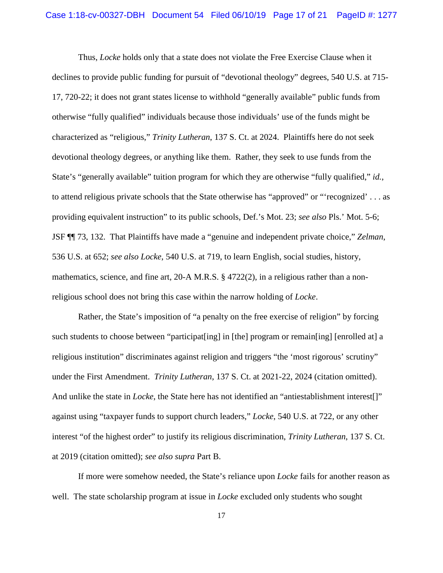Thus, *Locke* holds only that a state does not violate the Free Exercise Clause when it declines to provide public funding for pursuit of "devotional theology" degrees, 540 U.S. at 715- 17, 720-22; it does not grant states license to withhold "generally available" public funds from otherwise "fully qualified" individuals because those individuals' use of the funds might be characterized as "religious," *Trinity Lutheran*, 137 S. Ct. at 2024. Plaintiffs here do not seek devotional theology degrees, or anything like them. Rather, they seek to use funds from the State's "generally available" tuition program for which they are otherwise "fully qualified," *id.*, to attend religious private schools that the State otherwise has "approved" or "'recognized' . . . as providing equivalent instruction" to its public schools, Def.'s Mot. 23; *see also* Pls.' Mot. 5-6; JSF ¶¶ 73, 132. That Plaintiffs have made a "genuine and independent private choice," *Zelman*, 536 U.S. at 652; *see also Locke*, 540 U.S. at 719, to learn English, social studies, history, mathematics, science, and fine art, 20-A M.R.S.  $\S 4722(2)$ , in a religious rather than a nonreligious school does not bring this case within the narrow holding of *Locke*.

Rather, the State's imposition of "a penalty on the free exercise of religion" by forcing such students to choose between "participat [ing] in [the] program or remain [ing] [enrolled at] a religious institution" discriminates against religion and triggers "the 'most rigorous' scrutiny" under the First Amendment. *Trinity Lutheran*, 137 S. Ct. at 2021-22, 2024 (citation omitted). And unlike the state in *Locke*, the State here has not identified an "antiestablishment interest[]" against using "taxpayer funds to support church leaders," *Locke*, 540 U.S. at 722, or any other interest "of the highest order" to justify its religious discrimination, *Trinity Lutheran*, 137 S. Ct. at 2019 (citation omitted); *see also supra* Part B.

If more were somehow needed, the State's reliance upon *Locke* fails for another reason as well. The state scholarship program at issue in *Locke* excluded only students who sought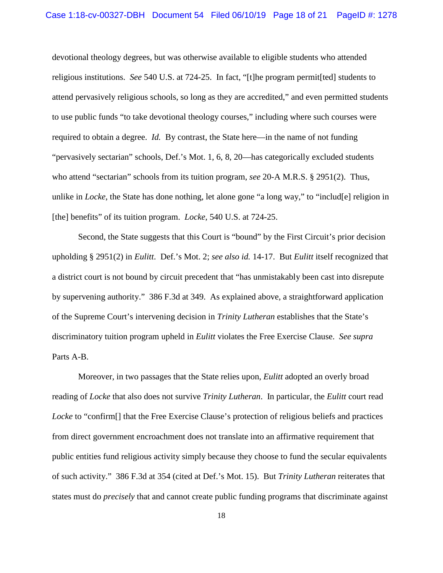devotional theology degrees, but was otherwise available to eligible students who attended religious institutions. *See* 540 U.S. at 724-25. In fact, "[t]he program permit[ted] students to attend pervasively religious schools, so long as they are accredited," and even permitted students to use public funds "to take devotional theology courses," including where such courses were required to obtain a degree. *Id.* By contrast, the State here—in the name of not funding "pervasively sectarian" schools, Def.'s Mot. 1, 6, 8, 20—has categorically excluded students who attend "sectarian" schools from its tuition program, *see* 20-A M.R.S. § 2951(2). Thus, unlike in *Locke*, the State has done nothing, let alone gone "a long way," to "includ[e] religion in [the] benefits" of its tuition program. *Locke*, 540 U.S. at 724-25.

 Second, the State suggests that this Court is "bound" by the First Circuit's prior decision upholding § 2951(2) in *Eulitt*. Def.'s Mot. 2; *see also id.* 14-17. But *Eulitt* itself recognized that a district court is not bound by circuit precedent that "has unmistakably been cast into disrepute by supervening authority." 386 F.3d at 349. As explained above, a straightforward application of the Supreme Court's intervening decision in *Trinity Lutheran* establishes that the State's discriminatory tuition program upheld in *Eulitt* violates the Free Exercise Clause. *See supra* Parts A-B.

Moreover, in two passages that the State relies upon, *Eulitt* adopted an overly broad reading of *Locke* that also does not survive *Trinity Lutheran*. In particular, the *Eulitt* court read *Locke* to "confirm<sup>[]</sup> that the Free Exercise Clause's protection of religious beliefs and practices from direct government encroachment does not translate into an affirmative requirement that public entities fund religious activity simply because they choose to fund the secular equivalents of such activity." 386 F.3d at 354 (cited at Def.'s Mot. 15). But *Trinity Lutheran* reiterates that states must do *precisely* that and cannot create public funding programs that discriminate against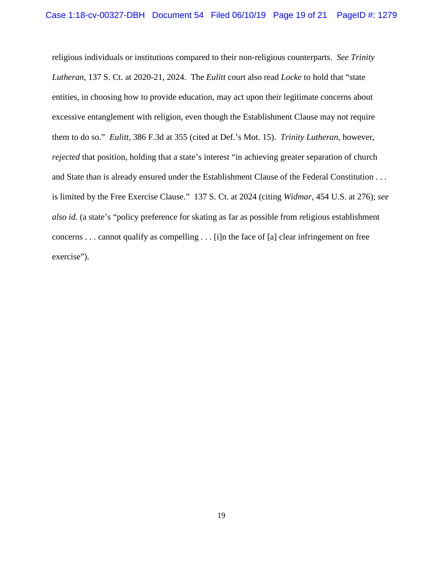religious individuals or institutions compared to their non-religious counterparts. *See Trinity Lutheran*, 137 S. Ct. at 2020-21, 2024. The *Eulitt* court also read *Locke* to hold that "state entities, in choosing how to provide education, may act upon their legitimate concerns about excessive entanglement with religion, even though the Establishment Clause may not require them to do so." *Eulitt*, 386 F.3d at 355 (cited at Def.'s Mot. 15). *Trinity Lutheran*, however, *rejected* that position, holding that a state's interest "in achieving greater separation of church and State than is already ensured under the Establishment Clause of the Federal Constitution . . . is limited by the Free Exercise Clause." 137 S. Ct. at 2024 (citing *Widmar*, 454 U.S. at 276); *see also id.* (a state's "policy preference for skating as far as possible from religious establishment concerns . . . cannot qualify as compelling . . . [i]n the face of [a] clear infringement on free exercise").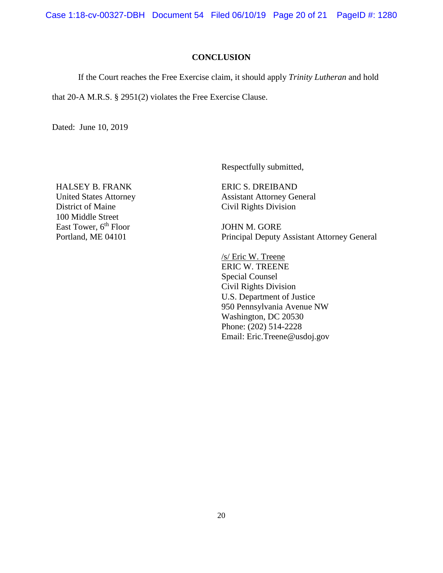Case 1:18-cv-00327-DBH Document 54 Filed 06/10/19 Page 20 of 21 PageID #: 1280

### **CONCLUSION**

If the Court reaches the Free Exercise claim, it should apply *Trinity Lutheran* and hold

that 20-A M.R.S. § 2951(2) violates the Free Exercise Clause.

Dated: June 10, 2019

Respectfully submitted,

HALSEY B. FRANK United States Attorney District of Maine 100 Middle Street East Tower, 6<sup>th</sup> Floor Portland, ME 04101

ERIC S. DREIBAND Assistant Attorney General Civil Rights Division

JOHN M. GORE Principal Deputy Assistant Attorney General

/s/ Eric W. Treene ERIC W. TREENE Special Counsel Civil Rights Division U.S. Department of Justice 950 Pennsylvania Avenue NW Washington, DC 20530 Phone: (202) 514-2228 Email: Eric.Treene@usdoj.gov